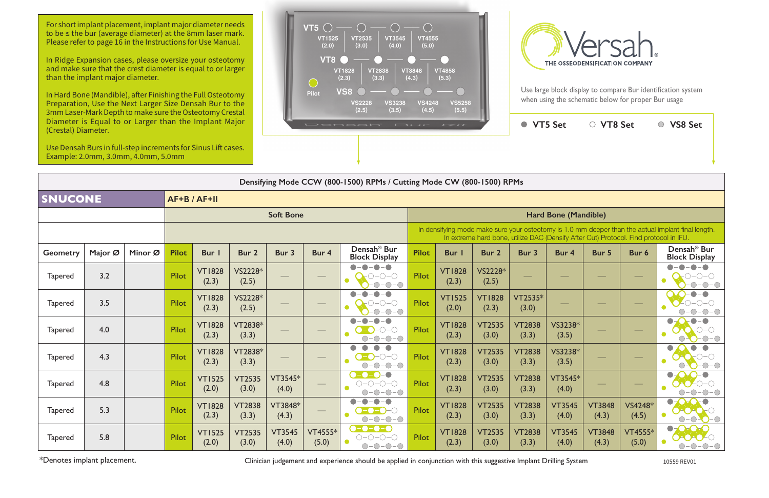| offinite case in the Depth to make sure the Osteotomy Crestal<br>Diameter is Equal to or Larger than the Implant Major<br>Densah<br>$E \rightarrow U + F$<br>(Crestal) Diameter. |         |                                                                                                      |              |                        |                        |                        |                  |                                                                       |              |                        |                        | ● VT5 Set              |                                                                                       | ○ VT8 Set              |                  | ○ VS8 Set                                                                                          |
|----------------------------------------------------------------------------------------------------------------------------------------------------------------------------------|---------|------------------------------------------------------------------------------------------------------|--------------|------------------------|------------------------|------------------------|------------------|-----------------------------------------------------------------------|--------------|------------------------|------------------------|------------------------|---------------------------------------------------------------------------------------|------------------------|------------------|----------------------------------------------------------------------------------------------------|
|                                                                                                                                                                                  |         | Use Densah Burs in full-step increments for Sinus Lift cases.<br>Example: 2.0mm, 3.0mm, 4.0mm, 5.0mm |              |                        |                        |                        |                  |                                                                       |              |                        |                        |                        |                                                                                       |                        |                  |                                                                                                    |
|                                                                                                                                                                                  |         |                                                                                                      |              |                        |                        |                        |                  | Densifying Mode CCW (800-1500) RPMs / Cutting Mode CW (800-1500) RPMs |              |                        |                        |                        |                                                                                       |                        |                  |                                                                                                    |
| <b>SNUCONE</b>                                                                                                                                                                   |         | AF+B / AF+II                                                                                         |              |                        |                        |                        |                  |                                                                       |              |                        |                        |                        |                                                                                       |                        |                  |                                                                                                    |
|                                                                                                                                                                                  |         |                                                                                                      |              |                        |                        | <b>Soft Bone</b>       |                  |                                                                       |              |                        |                        |                        | <b>Hard Bone (Mandible)</b>                                                           |                        |                  |                                                                                                    |
|                                                                                                                                                                                  |         |                                                                                                      |              |                        |                        |                        |                  |                                                                       |              |                        |                        |                        | In extreme hard bone, utilize DAC (Densify After Cut) Protocol. Find protocol in IFU. |                        |                  | In densifying mode make sure your osteotomy is 1.0 mm deeper than the actual implant final length. |
| <b>Geometry</b>                                                                                                                                                                  | Major Ø | Minor Ø                                                                                              | <b>Pilot</b> | Bur                    | Bur 2                  | Bur 3                  | Bur 4            | Densah <sup>®</sup> Bur<br><b>Block Display</b>                       | <b>Pilot</b> | Bur I                  | Bur 2                  | Bur 3                  | Bur 4                                                                                 | Bur 5                  | Bur 6            | Densah <sup>®</sup> Bur<br><b>Block Display</b>                                                    |
| <b>Tapered</b>                                                                                                                                                                   | 3.2     |                                                                                                      | Pilot        | <b>VT1828</b><br>(2.3) | VS2228*<br>(2.5)       |                        |                  |                                                                       | Pilot        | <b>VT1828</b><br>(2.3) | VS2228*<br>(2.5)       |                        |                                                                                       |                        |                  | $\bullet$                                                                                          |
| <b>Tapered</b>                                                                                                                                                                   | 3.5     |                                                                                                      | Pilot        | <b>VT1828</b><br>(2.3) | VS2228*<br>(2.5)       |                        |                  |                                                                       | Pilot        | <b>VT1525</b><br>(2.0) | <b>VT1828</b><br>(2.3) | VT2535*<br>(3.0)       |                                                                                       |                        |                  |                                                                                                    |
| <b>Tapered</b>                                                                                                                                                                   | 4.0     |                                                                                                      | Pilot        | <b>VT1828</b><br>(2.3) | VT2838*<br>(3.3)       |                        |                  |                                                                       | Pilot        | <b>VT1828</b><br>(2.3) | <b>VT2535</b><br>(3.0) | <b>VT2838</b><br>(3.3) | VS3238*<br>(3.5)                                                                      |                        |                  |                                                                                                    |
| <b>Tapered</b>                                                                                                                                                                   | 4.3     |                                                                                                      | Pilot        | <b>VT1828</b><br>(2.3) | VT2838*<br>(3.3)       |                        |                  | $\bigcirc$ - $\bigcirc$<br>$-O$ -O                                    | Pilot        | <b>VT1828</b><br>(2.3) | <b>VT2535</b><br>(3.0) | <b>VT2838</b><br>(3.3) | VS3238*<br>(3.5)                                                                      |                        |                  |                                                                                                    |
| <b>Tapered</b>                                                                                                                                                                   | 4.8     |                                                                                                      | Pilot        | <b>VT1525</b><br>(2.0) | <b>VT2535</b><br>(3.0) | VT3545*<br>(4.0)       |                  | $-0-0-0$                                                              | Pilot        | <b>VT1828</b><br>(2.3) | <b>VT2535</b><br>(3.0) | <b>VT2838</b><br>(3.3) | VT3545*<br>(4.0)                                                                      |                        |                  |                                                                                                    |
| <b>Tapered</b>                                                                                                                                                                   | 5.3     |                                                                                                      | Pilot        | <b>VT1828</b><br>(2.3) | <b>VT2838</b><br>(3.3) | VT3848*<br>(4.3)       |                  | $O-O-O-O$                                                             | Pilot        | <b>VT1828</b><br>(2.3) | <b>VT2535</b><br>(3.0) | <b>VT2838</b><br>(3.3) | <b>VT3545</b><br>(4.0)                                                                | <b>VT3848</b><br>(4.3) | VS4248*<br>(4.5) |                                                                                                    |
| <b>Tapered</b>                                                                                                                                                                   | 5.8     |                                                                                                      | Pilot        | <b>VT1525</b><br>(2.0) | <b>VT2535</b><br>(3.0) | <b>VT3545</b><br>(4.0) | VT4555*<br>(5.0) | $O-O-O-O$<br>$\bullet$                                                | Pilot        | <b>VT1828</b><br>(2.3) | <b>VT2535</b><br>(3.0) | <b>VT2838</b><br>(3.3) | <b>VT3545</b><br>(4.0)                                                                | <b>VT3848</b><br>(4.3) | VT4555*<br>(5.0) | O                                                                                                  |

\*Denotes implant placement. Clinician judgement and experience should be applied in conjunction with this suggestive Implant Drilling System 10559 REV01



Use large block display to compare Bur identification system when using the schematic below for proper Bur usage

For short implant placement, implant major diameter needs to be ≤ the bur (average diameter) at the 8mm laser mark. Please refer to page 16 in the Instructions for Use Manual.

In Ridge Expansion cases, please oversize your osteotomy and make sure that the crest diameter is equal to or larger than the implant major diameter.

In Hard Bone (Mandible), after Finishing the Full Osteotomy Preparation, Use the Next Larger Size Densah Bur to the 3mm Laser-Mark Depth to make sure the Osteotomy Crestal Diameter is Equal to or Larger than the Implant Major

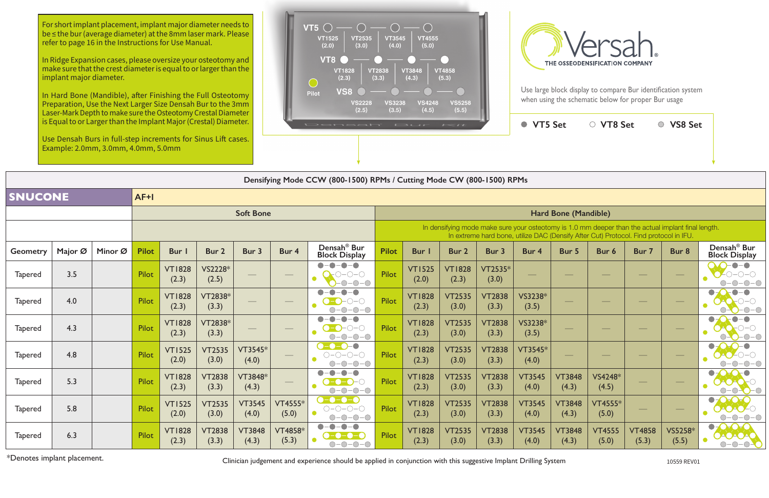Use large block display to compare Bur identification system when using the schematic below for proper Bur usage

**VT5 Set VT8 Set VS8 Set**

## **Bone** (Mandible)

|                  | Densifying Mode CCW (800-1500) RPMs / Cutting Mode CW (800-1500) RPMs |         |              |                        |                        |                        |                    |                                                                                                                                |                                                                                                                                                                                             |                        |                        |                        |                        |                        |                        |                        |                  |                                                 |  |
|------------------|-----------------------------------------------------------------------|---------|--------------|------------------------|------------------------|------------------------|--------------------|--------------------------------------------------------------------------------------------------------------------------------|---------------------------------------------------------------------------------------------------------------------------------------------------------------------------------------------|------------------------|------------------------|------------------------|------------------------|------------------------|------------------------|------------------------|------------------|-------------------------------------------------|--|
| <b>SNUCONE</b>   |                                                                       |         |              |                        |                        |                        |                    |                                                                                                                                |                                                                                                                                                                                             |                        |                        |                        |                        |                        |                        |                        |                  |                                                 |  |
| <b>Soft Bone</b> |                                                                       |         |              |                        |                        |                        |                    | Hard Bone (Mandible)                                                                                                           |                                                                                                                                                                                             |                        |                        |                        |                        |                        |                        |                        |                  |                                                 |  |
|                  |                                                                       |         |              |                        |                        |                        |                    |                                                                                                                                | In densifying mode make sure your osteotomy is 1.0 mm deeper than the actual implant final length.<br>In extreme hard bone, utilize DAC (Densify After Cut) Protocol. Find protocol in IFU. |                        |                        |                        |                        |                        |                        |                        |                  |                                                 |  |
| <b>Geometry</b>  | Major Ø                                                               | Minor Ø | <b>Pilot</b> | Bur                    | Bur 2                  | Bur 3                  | Bur 4              | Densah <sup>®</sup> Bur<br><b>Block Display</b>                                                                                | <b>Pilot</b>                                                                                                                                                                                | <b>Bur</b>             | Bur 2                  | Bur 3                  | Bur 4                  | Bur 5                  | Bur 6                  | Bur 7                  | Bur 8            | Densah <sup>®</sup> Bur<br><b>Block Display</b> |  |
| <b>Tapered</b>   | 3.5                                                                   |         | Pilot        | <b>VT1828</b><br>(2.3) | VS2228*<br>(2.5)       |                        |                    | $\bullet$<br>$D$ – $O$ – $O$<br>$-O - O$                                                                                       | <b>Pilot</b>                                                                                                                                                                                | <b>VT1525</b><br>(2.0) | <b>VT1828</b><br>(2.3) | $VT2535*$<br>(3.0)     |                        |                        |                        |                        |                  | $\bullet$                                       |  |
| <b>Tapered</b>   | 4.0                                                                   |         | Pilot        | <b>VT1828</b><br>(2.3) | VT2838*<br>(3.3)       |                        |                    | $\bullet$<br>-0<br>O<br>$ \bigcirc$ $ \bigcirc$<br>$-O$ - $O$                                                                  | Pilot                                                                                                                                                                                       | <b>VT1828</b><br>(2.3) | <b>VT2535</b><br>(3.0) | <b>VT2838</b><br>(3.3) | VS3238*<br>(3.5)       |                        |                        |                        |                  | $\bullet$                                       |  |
| <b>Tapered</b>   | 4.3                                                                   |         | Pilot        | <b>VT1828</b><br>(2.3) | VT2838*<br>(3.3)       |                        |                    | $-0$ -O-O<br>$-O$ - $O$                                                                                                        | Pilot                                                                                                                                                                                       | <b>VT1828</b><br>(2.3) | <b>VT2535</b><br>(3.0) | <b>VT2838</b><br>(3.3) | VS3238*<br>(3.5)       |                        |                        |                        |                  |                                                 |  |
| <b>Tapered</b>   | 4.8                                                                   |         | Pilot        | <b>VT1525</b><br>(2.0) | <b>VT2535</b><br>(3.0) | VT3545*<br>(4.0)       |                    | $\bullet$<br>$O-O-O-O-O$<br>$\bullet$                                                                                          | Pilot                                                                                                                                                                                       | <b>VT1828</b><br>(2.3) | <b>VT2535</b><br>(3.0) | <b>VT2838</b><br>(3.3) | VT3545*<br>(4.0)       |                        |                        |                        |                  |                                                 |  |
| <b>Tapered</b>   | 5.3                                                                   |         | Pilot        | <b>VT1828</b><br>(2.3) | <b>VT2838</b><br>(3.3) | VT3848*<br>(4.3)       |                    | $O-O-O-O$                                                                                                                      | <b>Pilot</b>                                                                                                                                                                                | <b>VT1828</b><br>(2.3) | <b>VT2535</b><br>(3.0) | <b>VT2838</b><br>(3.3) | <b>VT3545</b><br>(4.0) | <b>VT3848</b><br>(4.3) | VS4248*<br>(4.5)       |                        |                  | $\bullet$                                       |  |
| <b>Tapered</b>   | 5.8                                                                   |         | Pilot        | <b>VT1525</b><br>(2.0) | <b>VT2535</b><br>(3.0) | <b>VT3545</b><br>(4.0) | $VT4555*$<br>(5.0) | $O-O-O-O$<br>$\bullet$<br>$O-O-O-O$                                                                                            | <b>Pilot</b>                                                                                                                                                                                | <b>VT1828</b><br>(2.3) | <b>VT2535</b><br>(3.0) | <b>VT2838</b><br>(3.3) | <b>VT3545</b><br>(4.0) | <b>VT3848</b><br>(4.3) | $VT4555*$<br>(5.0)     |                        |                  | $\bullet$<br>$\bullet$                          |  |
| <b>Tapered</b>   | 6.3                                                                   |         | Pilot        | <b>VT1828</b><br>(2.3) | <b>VT2838</b><br>(3.3) | <b>VT3848</b><br>(4.3) | VT4858*<br>(5.3)   | $\begin{array}{c} \bullet \\ \bullet \end{array}$<br>$-\bigcirc$<br>$-\bigcirc$<br><b>LO-C</b><br>$-\bigcap -\bigcap -\bigcap$ | Pilot                                                                                                                                                                                       | <b>VT1828</b><br>(2.3) | <b>VT2535</b><br>(3.0) | <b>VT2838</b><br>(3.3) | <b>VT3545</b><br>(4.0) | <b>VT3848</b><br>(4.3) | <b>VT4555</b><br>(5.0) | <b>VT4858</b><br>(5.3) | VS5258*<br>(5.5) | $\bullet$<br><b>UOO</b><br>$-\bigcap -\bigcap$  |  |

\*Denotes implant placement. **Exercice 2018** Clinician judgement and experience should be applied in conjunction with this suggestive Implant Drilling System 10559 REV01



| 3ur 3             | Bur 4                  | Bur 5                  | Bur 6                  | Bur 7                  | Bur 8            | Densah <sup>®</sup> Bur<br><b>Block Display</b> |
|-------------------|------------------------|------------------------|------------------------|------------------------|------------------|-------------------------------------------------|
| $T2535*$<br>(3.0) |                        |                        |                        |                        |                  |                                                 |
| T2838<br>(3.3)    | VS3238*<br>(3.5)       |                        |                        |                        |                  |                                                 |
| T2838<br>(3.3)    | VS3238*<br>(3.5)       |                        |                        |                        |                  |                                                 |
| T2838<br>(3.3)    | VT3545*<br>(4.0)       |                        |                        |                        |                  |                                                 |
| T2838<br>(3.3)    | <b>VT3545</b><br>(4.0) | <b>VT3848</b><br>(4.3) | VS4248*<br>(4.5)       |                        |                  |                                                 |
| T2838<br>(3.3)    | <b>VT3545</b><br>(4.0) | <b>VT3848</b><br>(4.3) | VT4555*<br>(5.0)       |                        |                  |                                                 |
| T2838<br>(3.3)    | <b>VT3545</b><br>(4.0) | <b>VT3848</b><br>(4.3) | <b>VT4555</b><br>(5.0) | <b>VT4858</b><br>(5.3) | VS5258*<br>(5.5) |                                                 |

For short implant placement, implant major diameter needs to be ≤ the bur (average diameter) at the 8mm laser mark. Please refer to page 16 in the Instructions for Use Manual.

In Ridge Expansion cases, please oversize your osteotomy and make sure that the crest diameter is equal to or larger than the implant major diameter.

In Hard Bone (Mandible), after Finishing the Full Osteotomy Preparation, Use the Next Larger Size Densah Bur to the 3mm Laser-Mark Depth to make sure the Osteotomy Crestal Diameter is Equal to or Larger than the Implant Major (Crestal) Diameter.

Use Densah Burs in full-step increments for Sinus Lift cases. Example: 2.0mm, 3.0mm, 4.0mm, 5.0mm

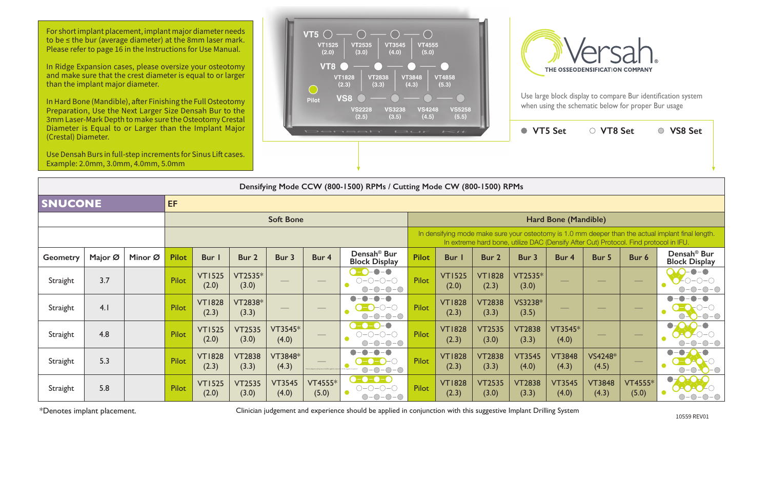

| (Crestal) Diameter. | Diameter is Equal to or Larger than the Implant Major                                                |         |              |                        |                        |                                          |                    | Densah                                                           | $F \rightarrow C \rightarrow F$ | $\sim$                 |                                                                                       | ● VT5 Set              |                        | ○ VT8 Set              |                         | ○ VS8 Set                                                                                          |
|---------------------|------------------------------------------------------------------------------------------------------|---------|--------------|------------------------|------------------------|------------------------------------------|--------------------|------------------------------------------------------------------|---------------------------------|------------------------|---------------------------------------------------------------------------------------|------------------------|------------------------|------------------------|-------------------------|----------------------------------------------------------------------------------------------------|
|                     | Use Densah Burs in full-step increments for Sinus Lift cases.<br>Example: 2.0mm, 3.0mm, 4.0mm, 5.0mm |         |              |                        |                        |                                          |                    |                                                                  |                                 |                        |                                                                                       |                        |                        |                        |                         |                                                                                                    |
|                     | Densifying Mode CCW (800-1500) RPMs / Cutting Mode CW (800-1500) RPMs                                |         |              |                        |                        |                                          |                    |                                                                  |                                 |                        |                                                                                       |                        |                        |                        |                         |                                                                                                    |
| <b>SNUCONE</b>      |                                                                                                      |         | EF           |                        |                        |                                          |                    |                                                                  |                                 |                        |                                                                                       |                        |                        |                        |                         |                                                                                                    |
|                     |                                                                                                      |         |              |                        |                        | <b>Soft Bone</b><br>Hard Bone (Mandible) |                    |                                                                  |                                 |                        |                                                                                       |                        |                        |                        |                         |                                                                                                    |
|                     |                                                                                                      |         |              |                        |                        |                                          |                    |                                                                  |                                 |                        | In extreme hard bone, utilize DAC (Densify After Cut) Protocol. Find protocol in IFU. |                        |                        |                        |                         | In densifying mode make sure your osteotomy is 1.0 mm deeper than the actual implant final length. |
| Geometry            | Major Ø                                                                                              | Minor Ø | <b>Pilot</b> | Bur                    | Bur 2                  | Bur 3                                    | Bur 4              | Densah <sup>®</sup> Bur<br><b>Block Display</b>                  | <b>Pilot</b>                    | Bur I                  | Bur 2                                                                                 | Bur 3                  | Bur 4                  | Bur 5                  | Bur 6                   | Densah <sup>®</sup> Bur<br><b>Block Display</b>                                                    |
| Straight            | 3.7                                                                                                  |         | Pilot        | <b>VT1525</b><br>(2.0) | VT2535*<br>(3.0)       |                                          |                    | $\bullet$ -<br>-0<br>$O-O-O-O$<br>$-O$ - $O$                     | Pilot                           | <b>VT1525</b><br>(2.0) | <b>VT1828</b><br>(2.3)                                                                | VT2535*<br>(3.0)       |                        |                        |                         |                                                                                                    |
| Straight            | 4.1                                                                                                  |         | <b>Pilot</b> | <b>VT1828</b><br>(2.3) | VT2838*<br>(3.3)       |                                          |                    | $\bigcirc$ $\bigcirc$ $\bigcirc$<br>$-O$ -O                      | <b>Pilot</b>                    | <b>VT1828</b><br>(2.3) | <b>VT2838</b><br>(3.3)                                                                | VS3238*<br>(3.5)       |                        |                        |                         |                                                                                                    |
| Straight            | 4.8                                                                                                  |         | Pilot        | <b>VT1525</b><br>(2.0) | <b>VT2535</b><br>(3.0) | VT3545*<br>(4.0)                         |                    | 0-0-0-0                                                          | Pilot                           | <b>VT1828</b><br>(2.3) | <b>VT2535</b><br>(3.0)                                                                | <b>VT2838</b><br>(3.3) | VT3545*<br>(4.0)       |                        |                         |                                                                                                    |
| Straight            | 5.3                                                                                                  |         | <b>Pilot</b> | <b>VT1828</b><br>(2.3) | <b>VT2838</b><br>(3.3) | VT3848*<br>(4.3)                         |                    | -0-0                                                             | Pilot                           | <b>VT1828</b><br>(2.3) | <b>VT2838</b><br>(3.3)                                                                | <b>VT3545</b><br>(4.0) | <b>VT3848</b><br>(4.3) | VS4248*<br>(4.5)       |                         |                                                                                                    |
| Straight            | 5.8                                                                                                  |         | <b>Pilot</b> | <b>VT1525</b><br>(2.0) | <b>VT2535</b><br>(3.0) | <b>VT3545</b><br>(4.0)                   | $VT4555*$<br>(5.0) | $\bullet$ - $\bullet$ -<br>-0-<br>-0<br>$O-O-O-O-O$<br>$O-O-O-O$ | Pilot                           | <b>VT1828</b><br>(2.3) | <b>VT2535</b><br>(3.0)                                                                | <b>VT2838</b><br>(3.3) | <b>VT3545</b><br>(4.0) | <b>VT3848</b><br>(4.3) | <b>VT4555*</b><br>(5.0) |                                                                                                    |

\*Denotes implant placement. 10559 REV01 Clinician judgement and experience should be applied in conjunction with this suggestive Implant Drilling System

For short implant placement, implant major diameter needs to be ≤ the bur (average diameter) at the 8mm laser mark. Please refer to page 16 in the Instructions for Use Manual.

In Ridge Expansion cases, please oversize your osteotomy and make sure that the crest diameter is equal to or larger than the implant major diameter.

In Hard Bone (Mandible), after Finishing the Full Osteotomy Preparation, Use the Next Larger Size Densah Bur to the 3mm Laser-Mark Depth to make sure the Osteotomy Crestal